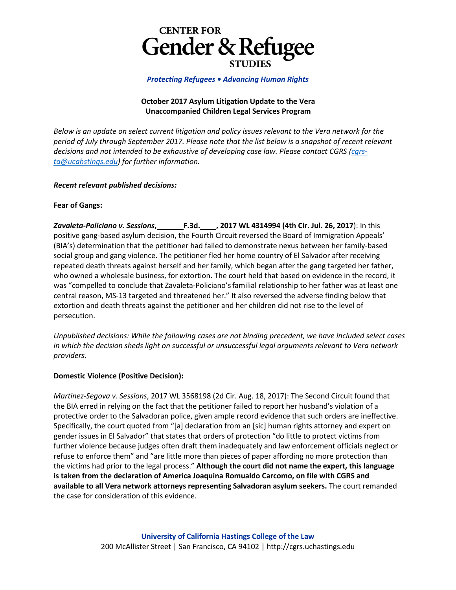

#### *Protecting Refugees • Advancing Human Rights*

## **October 2017 Asylum Litigation Update to the Vera Unaccompanied Children Legal Services Program**

*Below is an update on select current litigation and policy issues relevant to the Vera network for the period of July through September 2017. Please note that the list below is a snapshot of recent relevant decisions and not intended to be exhaustive of developing case law. Please contact CGRS [\(cgrs](mailto:cgrs-ta@ucahstings.edu)[ta@ucahstings.edu\)](mailto:cgrs-ta@ucahstings.edu) for further information.*

### *Recent relevant published decisions:*

### **Fear of Gangs:**

*Zavaleta-Policiano v. Sessions***, F.3d. , 2017 WL 4314994 (4th Cir. Jul. 26, 2017**): In this positive gang-based asylum decision, the Fourth Circuit reversed the Board of Immigration Appeals' (BIA's) determination that the petitioner had failed to demonstrate nexus between her family-based social group and gang violence. The petitioner fled her home country of El Salvador after receiving repeated death threats against herself and her family, which began after the gang targeted her father, who owned a wholesale business, for extortion. The court held that based on evidence in the record, it was "compelled to conclude that Zavaleta-Policiano'sfamilial relationship to her father was at least one central reason, MS-13 targeted and threatened her." It also reversed the adverse finding below that extortion and death threats against the petitioner and her children did not rise to the level of persecution.

*Unpublished decisions: While the following cases are not binding precedent, we have included select cases in which the decision sheds light on successful or unsuccessful legal arguments relevant to Vera network providers.*

### **Domestic Violence (Positive Decision):**

*Martinez-Segova v. Sessions*, 2017 WL 3568198 (2d Cir. Aug. 18, 2017): The Second Circuit found that the BIA erred in relying on the fact that the petitioner failed to report her husband's violation of a protective order to the Salvadoran police, given ample record evidence that such orders are ineffective. Specifically, the court quoted from "[a] declaration from an [sic] human rights attorney and expert on gender issues in El Salvador" that states that orders of protection "do little to protect victims from further violence because judges often draft them inadequately and law enforcement officials neglect or refuse to enforce them" and "are little more than pieces of paper affording no more protection than the victims had prior to the legal process." **Although the court did not name the expert, this language is taken from the declaration of America Joaquina Romualdo Carcomo, on file with CGRS and available to all Vera network attorneys representing Salvadoran asylum seekers.** The court remanded the case for consideration of this evidence.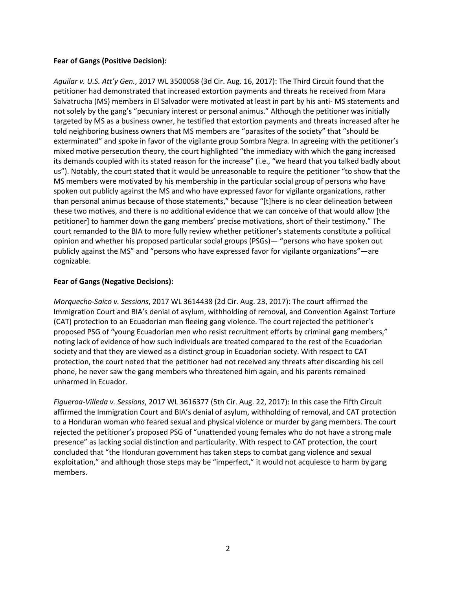### **Fear of Gangs (Positive Decision):**

*Aguilar v. U.S. Att'y Gen.*, 2017 WL 3500058 (3d Cir. Aug. 16, 2017): The Third Circuit found that the petitioner had demonstrated that increased extortion payments and threats he received from Mara Salvatrucha (MS) members in El Salvador were motivated at least in part by his anti- MS statements and not solely by the gang's "pecuniary interest or personal animus." Although the petitioner was initially targeted by MS as a business owner, he testified that extortion payments and threats increased after he told neighboring business owners that MS members are "parasites of the society" that "should be exterminated" and spoke in favor of the vigilante group Sombra Negra. In agreeing with the petitioner's mixed motive persecution theory, the court highlighted "the immediacy with which the gang increased its demands coupled with its stated reason for the increase" (i.e., "we heard that you talked badly about us"). Notably, the court stated that it would be unreasonable to require the petitioner "to show that the MS members were motivated by his membership in the particular social group of persons who have spoken out publicly against the MS and who have expressed favor for vigilante organizations, rather than personal animus because of those statements," because "[t]here is no clear delineation between these two motives, and there is no additional evidence that we can conceive of that would allow [the petitioner] to hammer down the gang members' precise motivations, short of their testimony." The court remanded to the BIA to more fully review whether petitioner's statements constitute a political opinion and whether his proposed particular social groups (PSGs)— "persons who have spoken out publicly against the MS" and "persons who have expressed favor for vigilante organizations"—are cognizable.

### **Fear of Gangs (Negative Decisions):**

*Morquecho-Saico v. Sessions*, 2017 WL 3614438 (2d Cir. Aug. 23, 2017): The court affirmed the Immigration Court and BIA's denial of asylum, withholding of removal, and Convention Against Torture (CAT) protection to an Ecuadorian man fleeing gang violence. The court rejected the petitioner's proposed PSG of "young Ecuadorian men who resist recruitment efforts by criminal gang members," noting lack of evidence of how such individuals are treated compared to the rest of the Ecuadorian society and that they are viewed as a distinct group in Ecuadorian society. With respect to CAT protection, the court noted that the petitioner had not received any threats after discarding his cell phone, he never saw the gang members who threatened him again, and his parents remained unharmed in Ecuador.

*Figueroa-Villeda v. Sessions*, 2017 WL 3616377 (5th Cir. Aug. 22, 2017): In this case the Fifth Circuit affirmed the Immigration Court and BIA's denial of asylum, withholding of removal, and CAT protection to a Honduran woman who feared sexual and physical violence or murder by gang members. The court rejected the petitioner's proposed PSG of "unattended young females who do not have a strong male presence" as lacking social distinction and particularity. With respect to CAT protection, the court concluded that "the Honduran government has taken steps to combat gang violence and sexual exploitation," and although those steps may be "imperfect," it would not acquiesce to harm by gang members.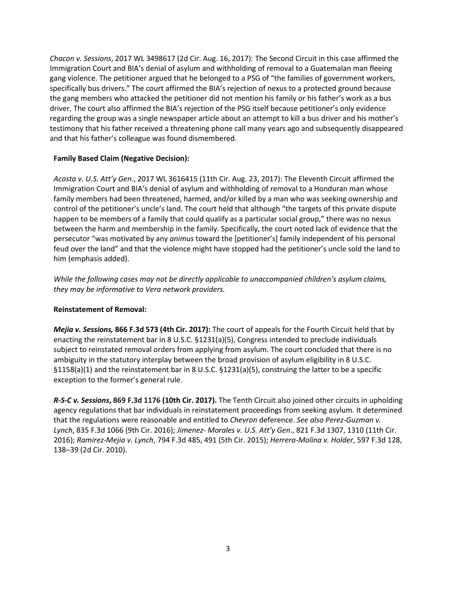*Chacon v. Sessions*, 2017 WL 3498617 (2d Cir. Aug. 16, 2017): The Second Circuit in this case affirmed the Immigration Court and BIA's denial of asylum and withholding of removal to a Guatemalan man fleeing gang violence. The petitioner argued that he belonged to a PSG of "the families of government workers, specifically bus drivers." The court affirmed the BIA's rejection of nexus to a protected ground because the gang members who attacked the petitioner did not mention his family or his father's work as a bus driver. The court also affirmed the BIA's rejection of the PSG itself because petitioner's only evidence regarding the group was a single newspaper article about an attempt to kill a bus driver and his mother's testimony that his father received a threatening phone call many years ago and subsequently disappeared and that his father's colleague was found dismembered.

## **Family Based Claim (Negative Decision):**

*Acosta v. U.S. Att'y Gen.*, 2017 WL 3616415 (11th Cir. Aug. 23, 2017): The Eleventh Circuit affirmed the Immigration Court and BIA's denial of asylum and withholding of removal to a Honduran man whose family members had been threatened, harmed, and/or killed by a man who was seeking ownership and control of the petitioner's uncle's land. The court held that although "the targets of this private dispute happen to be members of a family that could qualify as a particular social group," there was no nexus between the harm and membership in the family. Specifically, the court noted lack of evidence that the persecutor "was motivated by any *animus* toward the [petitioner's] family independent of his personal feud over the land" and that the violence might have stopped had the petitioner's uncle sold the land to him (emphasis added).

*While the following cases may not be directly applicable to unaccompanied children's asylum claims, they may be informative to Vera network providers.*

## **Reinstatement of Removal:**

*Mejia v. Sessions,* **866 F.3d 573 (4th Cir. 2017):** The court of appeals for the Fourth Circuit held that by enacting the reinstatement bar in 8 U.S.C. §1231(a)(5), Congress intended to preclude individuals subject to reinstated removal orders from applying from asylum. The court concluded that there is no ambiguity in the statutory interplay between the broad provision of asylum eligibility in 8 U.S.C. §1158(a)(1) and the reinstatement bar in 8 U.S.C. §1231(a)(5), construing the latter to be a specific exception to the former's general rule.

*R-S-C v. Sessions***, 869 F.3d 1176 (10th Cir. 2017).** The Tenth Circuit also joined other circuits in upholding agency regulations that bar individuals in reinstatement proceedings from seeking asylum*.* It determined that the regulations were reasonable and entitled to *Chevron* deference. *See also Perez-Guzman v. Lynch*, 835 F.3d 1066 (9th Cir. 2016); *Jimenez- Morales v. U.S. Att'y Gen*., 821 F.3d 1307, 1310 (11th Cir. 2016); *Ramirez-Mejia v. Lynch*, 794 F.3d 485, 491 (5th Cir. 2015); *Herrera-Molina v. Holder*, 597 F.3d 128, 138–39 (2d Cir. 2010).